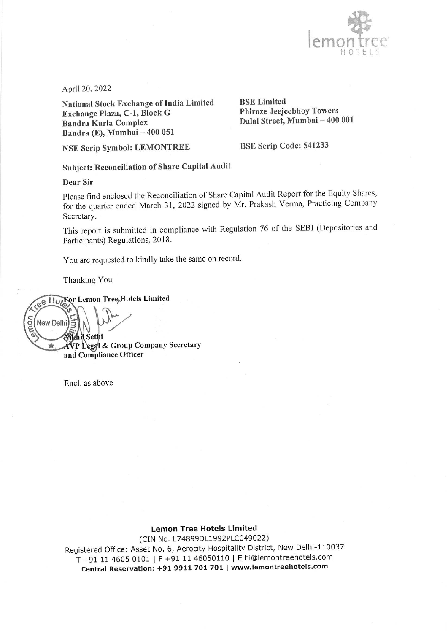

April 20, 2022

National Stock Exchange of India Limited Exchange Plaza, C-1, Block G **Bandra Kurla Complex** Bandra (E), Mumbai - 400 051

**BSE Limited Phiroze Jeejeebhoy Towers** Dalal Street, Mumbai - 400 001

**NSE Scrip Symbol: LEMONTREE** 

BSE Scrip Code: 541233

Subject: Reconciliation of Share Capital Audit

### Dear Sir

Please find enclosed the Reconciliation of Share Capital Audit Report for the Equity Shares, for the quarter ended March 31, 2022 signed by Mr. Prakash Verma, Practicing Company Secretary.

This report is submitted in compliance with Regulation 76 of the SEBI (Depositories and Participants) Regulations, 2018.

You are requested to kindly take the same on record.

Thanking You

ee Hotels Lemon Tree<sub>t</sub>Hotels Limited amon New Delhi **Mchil Sethi** AVP Legal & Group Company Secretary ÷ and Compliance Officer

Encl. as above

# **Lemon Tree Hotels Limited**

(CIN No. L74899DL1992PLC049022) Registered Office: Asset No. 6, Aerocity Hospitality District, New Delhi-110037 T +91 11 4605 0101 | F +91 11 46050110 | E hi@lemontreehotels.com Central Reservation: +91 9911 701 701 | www.lemontreehotels.com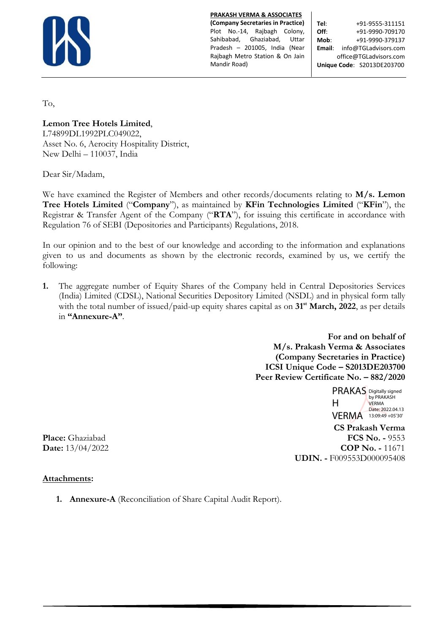

**PRAKASH VERMA & ASSOCIATES**

**(Company Secretaries in Practice)** Plot No.-14, Rajbagh Colony, Sahibabad, Ghaziabad, Uttar Pradesh – 201005, India (Near Rajbagh Metro Station & On Jain Mandir Road)

**Tel**: +91-9555-311151 **Off:**  $+91-9990-709170$ **Mob**: +91-9990-379137 **Email**: info@TGLadvisors.com office@TGLadvisors.com **Unique Code**: S2013DE203700

To,

**Lemon Tree Hotels Limited**,

L74899DL1992PLC049022, Asset No. 6, Aerocity Hospitality District, New Delhi – 110037, India

Dear Sir/Madam,

We have examined the Register of Members and other records/documents relating to **M/s. Lemon Tree Hotels Limited** ("**Company**"), as maintained by **KFin Technologies Limited** ("**KFin**"), the Registrar & Transfer Agent of the Company ("**RTA**"), for issuing this certificate in accordance with Regulation 76 of SEBI (Depositories and Participants) Regulations, 2018.

In our opinion and to the best of our knowledge and according to the information and explanations given to us and documents as shown by the electronic records, examined by us, we certify the following:

**1.** The aggregate number of Equity Shares of the Company held in Central Depositories Services (India) Limited (CDSL), National Securities Depository Limited (NSDL) and in physical form tally with the total number of issued/paid-up equity shares capital as on 31<sup>st</sup> March, 2022, as per details in **"Annexure-A"**.

> **For and on behalf of M/s. Prakash Verma & Associates (Company Secretaries in Practice) ICSI Unique Code – S2013DE203700 Peer Review Certificate No. – 882/2020**

> > PRAKAS Digitally signed H VERMA 13:09:49 +05'30 by PRAKASH VERMA Date: 2022.04.13

 **CS Prakash Verma Place:** Ghaziabad **FCS No. -** 9553 **Date:**  $13/04/2022$  **COP No. -** 11671 **UDIN. -** F009553D000095408

## **Attachments:**

**1. Annexure-A** (Reconciliation of Share Capital Audit Report).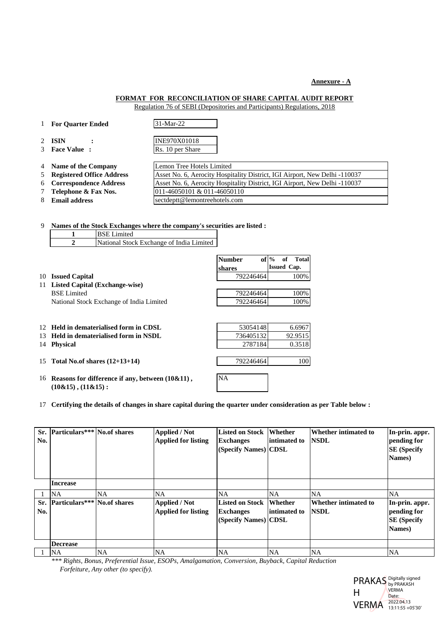#### **Annexure - A**

#### **FORMAT FOR RECONCILIATION OF SHARE CAPITAL AUDIT REPORT**

Regulation 76 of SEBI (Depositories and Participants) Regulations, 2018

- 1 **For Quarter Ended** 31-Mar-22
- 
- 

2 **ISIN :** INE970X01018 3 **Face Value :** Rs. 10 per Share

- 
- 
- 
- 
- 4 **Name of the Company** Lemon Tree Hotels Limited 5 **Registered Office Address** Asset No. 6, Aerocity Hospitality District, IGI Airport, New Delhi -110037 6 **Correspondence Address** Asset No. 6, Aerocity Hospitality District, IGI Airport, New Delhi -110037 7 **Telephone & Fax Nos.** 011-46050101 & 011-46050110 8 **Email address** [sectdeptt@lemontreehotels.com](mailto:sectdeptt@lemontreehotels.com)

9 **Names of the Stock Exchanges where the company's securities are listed :**

|     |                           | <b>BSE</b> Limited                                  |                         |                                                     |
|-----|---------------------------|-----------------------------------------------------|-------------------------|-----------------------------------------------------|
|     | $\mathbf{2}$              | National Stock Exchange of India Limited            |                         |                                                     |
|     |                           |                                                     | <b>Number</b><br>shares | $of \%$<br><b>Total</b><br>of<br><b>Issued Cap.</b> |
| 10  | <b>Issued Capital</b>     |                                                     | 792246464               | 100%                                                |
| 11  |                           | <b>Listed Capital (Exchange-wise)</b>               |                         |                                                     |
|     | <b>BSE</b> Limited        |                                                     | 792246464               | 100%                                                |
|     |                           | National Stock Exchange of India Limited            | 792246464               | 100%                                                |
| 12. |                           | Held in dematerialised form in CDSL.                | 53054148                | 6.6967                                              |
| 13  |                           | Held in dematerialised form in NSDL                 | 736405132               | 92.9515                                             |
| 14  | <b>Physical</b>           |                                                     | 2787184                 | 0.3518                                              |
| 15  |                           | Total No.of shares $(12+13+14)$                     | 792246464               | 100                                                 |
|     |                           |                                                     |                         |                                                     |
| 16  | $(10\&15)$ , $(11\&15)$ : | Reasons for difference if any, between $(10\&11)$ , | <b>NA</b>               |                                                     |

17 **Certifying the details of changes in share capital during the quarter under consideration as per Table below :**

| No. | Sr. Particulars*** No.of shares  |           | <b>Applied / Not</b><br><b>Applied for listing</b> | Listed on Stock Whether<br><b>Exchanges</b><br>(Specify Names) CDSL        | intimated to | Whether intimated to<br><b>NSDL</b>        | In-prin. appr.<br>pending for<br><b>SE</b> (Specify<br>Names) |
|-----|----------------------------------|-----------|----------------------------------------------------|----------------------------------------------------------------------------|--------------|--------------------------------------------|---------------------------------------------------------------|
|     | <b>Increase</b>                  |           |                                                    |                                                                            |              |                                            |                                                               |
|     | <b>NA</b>                        | NA.       | <b>NA</b>                                          | <b>NA</b>                                                                  | <b>NA</b>    | <b>NA</b>                                  | NA                                                            |
| No. | Sr. Particulars*** No. of shares |           | <b>Applied / Not</b><br><b>Applied for listing</b> | <b>Listed on Stock Whether</b><br><b>Exchanges</b><br>(Specify Names) CDSL | intimated to | <b>Whether intimated to</b><br><b>NSDL</b> | In-prin. appr.<br>pending for<br><b>SE</b> (Specify<br>Names) |
|     | <b>Decrease</b>                  |           |                                                    |                                                                            |              |                                            |                                                               |
|     | <b>NA</b>                        | <b>NA</b> | <b>NA</b>                                          | <b>NA</b>                                                                  | <b>NA</b>    | <b>NA</b>                                  | <b>NA</b>                                                     |

*\*\*\* Rights, Bonus, Preferential Issue, ESOPs, Amalgamation, Conversion, Buyback, Capital Reduction Forfeiture, Any other (to specify).*